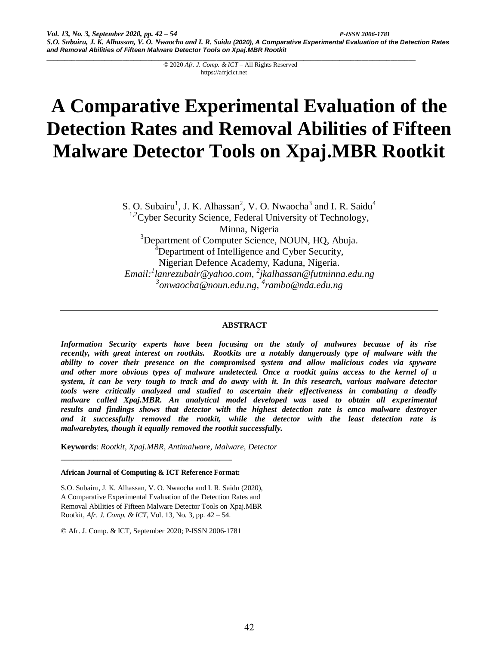# **A Comparative Experimental Evaluation of the Detection Rates and Removal Abilities of Fifteen Malware Detector Tools on Xpaj.MBR Rootkit**

S. O. Subairu<sup>1</sup>, J. K. Alhassan<sup>2</sup>, V. O. Nwaocha<sup>3</sup> and I. R. Saidu<sup>4</sup>

 $1.2$ Cyber Security Science, Federal University of Technology,

Minna, Nigeria

<sup>3</sup>Department of Computer Science, NOUN, HQ, Abuja. <sup>4</sup>Department of Intelligence and Cyber Security,

Nigerian Defence Academy, Kaduna, Nigeria.

*Email:<sup>1</sup> lanrezubair@yahoo.com, 2 jkalhassan@futminna.edu.ng 3 onwaocha@noun.edu.ng, 4 rambo@nda.edu.ng*

# **ABSTRACT**

*Information Security experts have been focusing on the study of malwares because of its rise recently, with great interest on rootkits. Rootkits are a notably dangerously type of malware with the ability to cover their presence on the compromised system and allow malicious codes via spyware and other more obvious types of malware undetected. Once a rootkit gains access to the kernel of a system, it can be very tough to track and do away with it. In this research, various malware detector tools were critically analyzed and studied to ascertain their effectiveness in combating a deadly malware called Xpaj.MBR. An analytical model developed was used to obtain all experimental results and findings shows that detector with the highest detection rate is emco malware destroyer and it successfully removed the rootkit, while the detector with the least detection rate is malwarebytes, though it equally removed the rootkit successfully.*

**Keywords**: *Rootkit, Xpaj.MBR, Antimalware, Malware, Detector*

## **African Journal of Computing & ICT Reference Format:**

**\_\_\_\_\_\_\_\_\_\_\_\_\_\_\_\_\_\_\_\_\_\_\_\_\_\_\_\_\_\_\_\_\_\_\_\_\_\_\_\_\_\_**

S.O. Subairu, J. K. Alhassan, V. O. Nwaocha and I. R. Saidu (2020), A Comparative Experimental Evaluation of the Detection Rates and Removal Abilities of Fifteen Malware Detector Tools on Xpaj.MBR Rootkit, *Afr. J. Comp. & ICT*, Vol. 13, No. 3, pp. 42 – 54.

© Afr. J. Comp. & ICT, September 2020; P-ISSN 2006-1781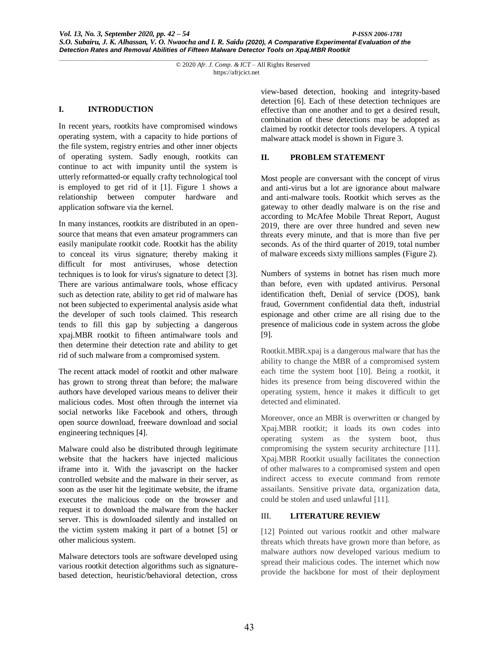### **I. INTRODUCTION**

In recent years, rootkits have compromised windows operating system, with a capacity to hide portions of the file system, registry entries and other inner objects of operating system. Sadly enough, rootkits can continue to act with impunity until the system is utterly reformatted-or equally crafty technological tool is employed to get rid of it [1]. Figure 1 shows a relationship between computer hardware and application software via the kernel.

In many instances, rootkits are distributed in an opensource that means that even amateur programmers can easily manipulate rootkit code. Rootkit has the ability to conceal its virus signature; thereby making it difficult for most antiviruses, whose detection techniques is to look for virus's signature to detect [3]. There are various antimalware tools, whose efficacy such as detection rate, ability to get rid of malware has not been subjected to experimental analysis aside what the developer of such tools claimed. This research tends to fill this gap by subjecting a dangerous xpaj.MBR rootkit to fifteen antimalware tools and then determine their detection rate and ability to get rid of such malware from a compromised system.

The recent attack model of rootkit and other malware has grown to strong threat than before; the malware authors have developed various means to deliver their malicious codes. Most often through the internet via social networks like Facebook and others, through open source download, freeware download and social engineering techniques [4].

Malware could also be distributed through legitimate website that the hackers have injected malicious iframe into it. With the javascript on the hacker controlled website and the malware in their server, as soon as the user hit the legitimate website, the iframe executes the malicious code on the browser and request it to download the malware from the hacker server. This is downloaded silently and installed on the victim system making it part of a botnet [5] or other malicious system.

Malware detectors tools are software developed using various rootkit detection algorithms such as signaturebased detection, heuristic/behavioral detection, cross

view-based detection, hooking and integrity-based detection [6]. Each of these detection techniques are effective than one another and to get a desired result, combination of these detections may be adopted as claimed by rootkit detector tools developers. A typical malware attack model is shown in Figure 3.

#### **II. PROBLEM STATEMENT**

Most people are conversant with the concept of virus and anti-virus but a lot are ignorance about malware and anti-malware tools. Rootkit which serves as the gateway to other deadly malware is on the rise and according to McAfee Mobile Threat Report, August 2019, there are over three hundred and seven new threats every minute, and that is more than five per seconds. As of the third quarter of 2019, total number of malware exceeds sixty millions samples (Figure 2).

Numbers of systems in botnet has risen much more than before, even with updated antivirus. Personal identification theft, Denial of service (DOS), bank fraud, Government confidential data theft, industrial espionage and other crime are all rising due to the presence of malicious code in system across the globe [9].

Rootkit.MBR.xpaj is a dangerous malware that has the ability to change the MBR of a compromised system each time the system boot [10]. Being a rootkit, it hides its presence from being discovered within the operating system, hence it makes it difficult to get detected and eliminated.

Moreover, once an MBR is overwritten or changed by Xpaj.MBR rootkit; it loads its own codes into operating system as the system boot, thus compromising the system security architecture [11]. Xpaj.MBR Rootkit usually facilitates the connection of other malwares to a compromised system and open indirect access to execute command from remote assailants. Sensitive private data, organization data, could be stolen and used unlawful [11].

## III. **LITERATURE REVIEW**

[12] Pointed out various rootkit and other malware threats which threats have grown more than before, as malware authors now developed various medium to spread their malicious codes. The internet which now provide the backbone for most of their deployment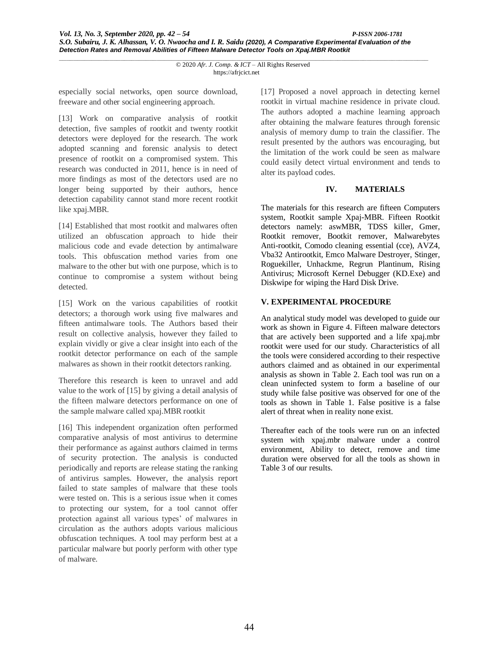especially social networks, open source download, freeware and other social engineering approach.

[13] Work on comparative analysis of rootkit detection, five samples of rootkit and twenty rootkit detectors were deployed for the research. The work adopted scanning and forensic analysis to detect presence of rootkit on a compromised system. This research was conducted in 2011, hence is in need of more findings as most of the detectors used are no longer being supported by their authors, hence detection capability cannot stand more recent rootkit like xpaj.MBR.

[14] Established that most rootkit and malwares often utilized an obfuscation approach to hide their malicious code and evade detection by antimalware tools. This obfuscation method varies from one malware to the other but with one purpose, which is to continue to compromise a system without being detected.

[15] Work on the various capabilities of rootkit detectors; a thorough work using five malwares and fifteen antimalware tools. The Authors based their result on collective analysis, however they failed to explain vividly or give a clear insight into each of the rootkit detector performance on each of the sample malwares as shown in their rootkit detectors ranking.

Therefore this research is keen to unravel and add value to the work of [15] by giving a detail analysis of the fifteen malware detectors performance on one of the sample malware called xpaj.MBR rootkit

[16] This independent organization often performed comparative analysis of most antivirus to determine their performance as against authors claimed in terms of security protection. The analysis is conducted periodically and reports are release stating the ranking of antivirus samples. However, the analysis report failed to state samples of malware that these tools were tested on. This is a serious issue when it comes to protecting our system, for a tool cannot offer protection against all various types' of malwares in circulation as the authors adopts various malicious obfuscation techniques. A tool may perform best at a particular malware but poorly perform with other type of malware.

[17] Proposed a novel approach in detecting kernel rootkit in virtual machine residence in private cloud. The authors adopted a machine learning approach after obtaining the malware features through forensic analysis of memory dump to train the classifier. The result presented by the authors was encouraging, but the limitation of the work could be seen as malware could easily detect virtual environment and tends to alter its payload codes.

## **IV. MATERIALS**

The materials for this research are fifteen Computers system, Rootkit sample Xpaj-MBR. Fifteen Rootkit detectors namely: aswMBR, TDSS killer, Gmer, Rootkit remover, Bootkit remover, Malwarebytes Anti-rootkit, Comodo cleaning essential (cce), AVZ4, Vba32 Antirootkit, Emco Malware Destroyer, Stinger, Roguekiller, Unhackme, Regrun Plantinum, Rising Antivirus; Microsoft Kernel Debugger (KD.Exe) and Diskwipe for wiping the Hard Disk Drive.

# **V. EXPERIMENTAL PROCEDURE**

An analytical study model was developed to guide our work as shown in Figure 4. Fifteen malware detectors that are actively been supported and a life xpaj.mbr rootkit were used for our study. Characteristics of all the tools were considered according to their respective authors claimed and as obtained in our experimental analysis as shown in Table 2. Each tool was run on a clean uninfected system to form a baseline of our study while false positive was observed for one of the tools as shown in Table 1. False positive is a false alert of threat when in reality none exist.

Thereafter each of the tools were run on an infected system with xpaj.mbr malware under a control environment, Ability to detect, remove and time duration were observed for all the tools as shown in Table 3 of our results.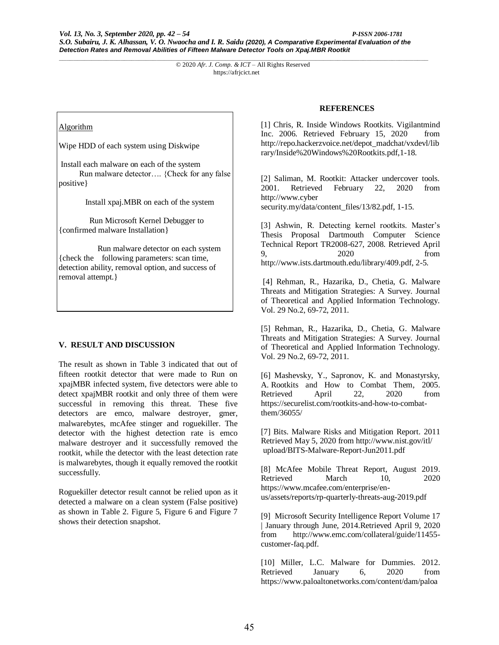#### Algorithm

Wipe HDD of each system using Diskwipe

Install each malware on each of the system Run malware detector…. {Check for any false positive}

Install xpaj.MBR on each of the system

 Run Microsoft Kernel Debugger to {confirmed malware Installation}

 Run malware detector on each system {check the following parameters: scan time, detection ability, removal option, and success of removal attempt.}

## **V. RESULT AND DISCUSSION**

The result as shown in Table 3 indicated that out of fifteen rootkit detector that were made to Run on xpajMBR infected system, five detectors were able to detect xpajMBR rootkit and only three of them were successful in removing this threat. These five detectors are emco, malware destroyer, gmer, malwarebytes, mcAfee stinger and roguekiller. The detector with the highest detection rate is emco malware destroyer and it successfully removed the rootkit, while the detector with the least detection rate is malwarebytes, though it equally removed the rootkit successfully.

Roguekiller detector result cannot be relied upon as it detected a malware on a clean system (False positive) as shown in Table 2. Figure 5, Figure 6 and Figure 7 shows their detection snapshot.

#### **REFERENCES**

[1] Chris, R. Inside Windows Rootkits. Vigilantmind Inc. 2006. Retrieved February 15, 2020 from http://repo.hackerzvoice.net/depot\_madchat/vxdevl/lib rary/Inside%20Windows%20Rootkits.pdf,1-18.

[2] Saliman, M. Rootkit: Attacker undercover tools. 2001. Retrieved February 22, 2020 from http://www.cyber

security.my/data/content\_files/13/82.pdf, 1-15.

[3] Ashwin, R. Detecting kernel rootkits. Master's Thesis Proposal Dartmouth Computer Science Technical Report TR2008-627, 2008. Retrieved April 9, 2020 from http://www.ists.dartmouth.edu/library/409.pdf, 2-5.

[4] Rehman, R., Hazarika, D., Chetia, G. Malware Threats and Mitigation Strategies: A Survey. Journal of Theoretical and Applied Information Technology. Vol. 29 No.2, 69-72, 2011.

[5] Rehman, R., Hazarika, D., Chetia, G. Malware Threats and Mitigation Strategies: A Survey. Journal of Theoretical and Applied Information Technology. Vol. 29 No.2, 69-72, 2011.

[6] Mashevsky, Y., Sapronov, K. and Monastyrsky, A. Rootkits and How to Combat Them, 2005. Retrieved April 22, 2020 from https://securelist.com/rootkits-and-how-to-combatthem/36055/

[7] Bits. Malware Risks and Mitigation Report. 2011 Retrieved May 5, 2020 from http://www.nist.gov/itl/ upload/BITS-Malware-Report-Jun2011.pdf

[8] McAfee Mobile Threat Report, August 2019. Retrieved March 10, 2020 https://www.mcafee.com/enterprise/enus/assets/reports/rp-quarterly-threats-aug-2019.pdf

[9] Microsoft Security Intelligence Report Volume 17 | January through June, 2014.Retrieved April 9, 2020 from http://www.emc.com/collateral/guide/11455 customer-faq.pdf.

[10] Miller, L.C. Malware for Dummies. 2012. Retrieved January 6, 2020 from https://www.paloaltonetworks.com/content/dam/paloa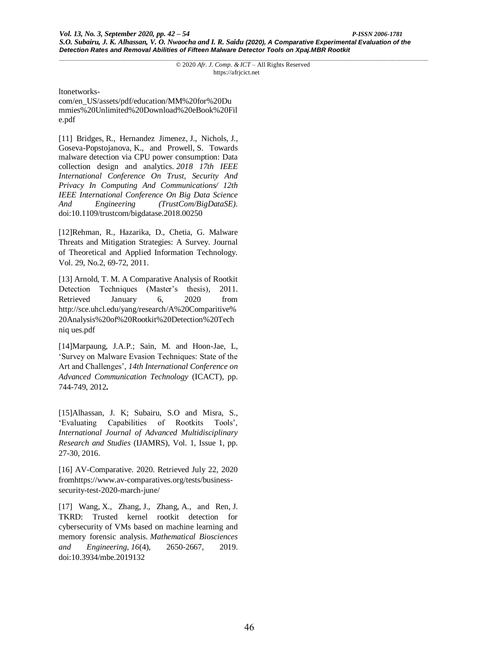ltonetworks-

com/en\_US/assets/pdf/education/MM%20for%20Du mmies%20Unlimited%20Download%20eBook%20Fil e.pdf

[11] Bridges, R., Hernandez Jimenez, J., Nichols, J., Goseva-Popstojanova, K., and Prowell, S. Towards malware detection via CPU power consumption: Data collection design and analytics. *2018 17th IEEE International Conference On Trust, Security And Privacy In Computing And Communications/ 12th IEEE International Conference On Big Data Science And Engineering (TrustCom/BigDataSE)*. doi:10.1109/trustcom/bigdatase.2018.00250

[12]Rehman, R., Hazarika, D., Chetia, G. Malware Threats and Mitigation Strategies: A Survey. Journal of Theoretical and Applied Information Technology. Vol. 29, No.2, 69-72, 2011.

[13] Arnold, T. M. A Comparative Analysis of Rootkit Detection Techniques (Master's thesis), 2011. Retrieved January 6, 2020 from http://sce.uhcl.edu/yang/research/A%20Comparitive% 20Analysis%20of%20Rootkit%20Detection%20Tech niq ues.pdf

[14]Marpaung, J.A.P.; Sain, M. and Hoon-Jae, L, 'Survey on Malware Evasion Techniques: State of the Art and Challenges', *14th International Conference on Advanced Communication Technology* (ICACT), pp. 744-749, 2012**.**

[15]Alhassan, J. K; Subairu, S.O and Misra, S., 'Evaluating Capabilities of Rootkits Tools', *International Journal of Advanced Multidisciplinary Research and Studies* (IJAMRS), Vol. 1, Issue 1, pp. 27-30, 2016.

[16] AV-Comparative. 2020. Retrieved July 22, 2020 fromhttps://www.av-comparatives.org/tests/businesssecurity-test-2020-march-june/

[17] Wang, X., Zhang, J., Zhang, A., and Ren, J. TKRD: Trusted kernel rootkit detection for cybersecurity of VMs based on machine learning and memory forensic analysis. *Mathematical Biosciences and Engineering*, *16*(4), 2650-2667, 2019. doi:10.3934/mbe.2019132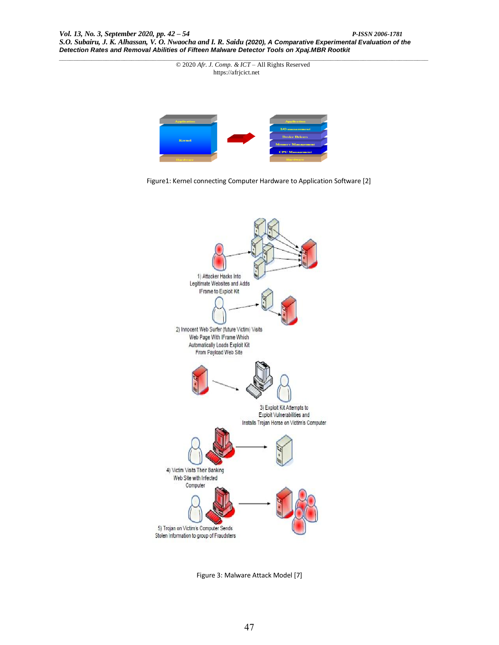

Figure1: Kernel connecting Computer Hardware to Application Software [2]



Figure 3: Malware Attack Model [7]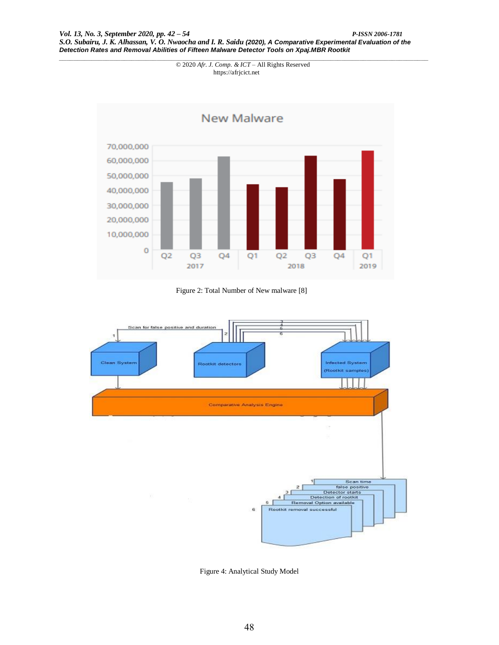

Figure 2: Total Number of New malware [8]



Figure 4: Analytical Study Model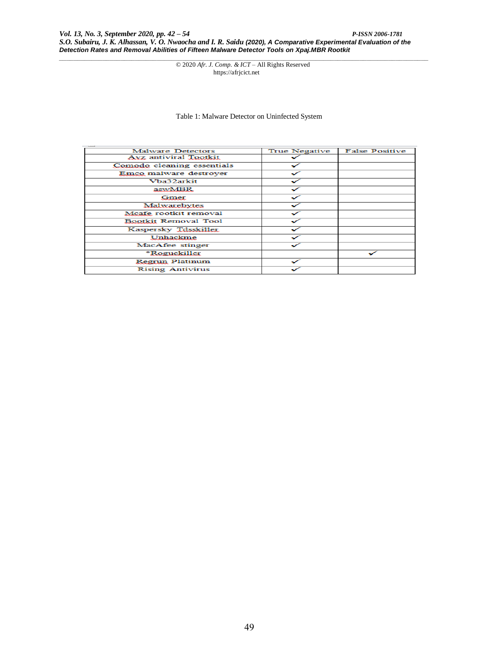Table 1: Malware Detector on Uninfected System

| Malware Detectors            | True Negative | <b>False Positive</b> |
|------------------------------|---------------|-----------------------|
| <b>Ayz</b> antiviral Tootkit |               |                       |
| Comodo cleaning essentials   |               |                       |
| Emco malware destrover       |               |                       |
| Vba32arkit                   |               |                       |
| aswMBR.                      |               |                       |
| Gmer.                        |               |                       |
| Malwarebytes                 |               |                       |
| Mcafe rootkit removal        |               |                       |
| <b>Bootkit Removal Tool</b>  |               |                       |
| Kaspersky Tdsskiller         |               |                       |
| Unhackme                     |               |                       |
| MacAfee stinger              |               |                       |
| *Roguekiller                 |               |                       |
| Regrun Platinum              |               |                       |
| <b>Rising Antivirus</b>      |               |                       |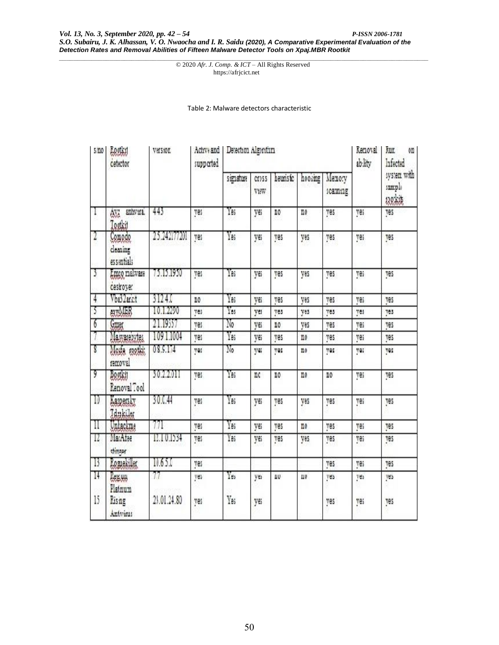Table 2: Malware detectors characteristic

| 5/10     | Lootki<br>cetector                            | Version.          | Active and<br>supported | Detection Algorithm |               |          |         |                    | Removal<br>ab lity | Kur.<br>0<br>Infected            |
|----------|-----------------------------------------------|-------------------|-------------------------|---------------------|---------------|----------|---------|--------------------|--------------------|----------------------------------|
|          |                                               |                   |                         | signature           | Cross<br>VtWW | heuristc | hooking | Memory<br>scanning |                    | system with<br>sample<br>030;kit |
| 1        | anhvira.<br>Ava<br>Tootkit                    | 443               | yes                     | Yas                 | yes           | 10       | no      | yes                | ves                | ves                              |
| 2        | Comodo<br>cleaning<br>essentials              | 25.242177201      | yes                     | Yes                 | yes           | yes      | yes     | yes                | yes                | yes                              |
| 3        | Emco malware<br>cestroyer.                    | 75.15.1950        | yes                     | Yas                 | ye.           | yes      | yes     | yes                | ves                | yes                              |
| 4        | Vba32anct                                     | 3124.0            | no.                     | Ya:                 | yes           | ves      | yes     | ves                | yes                | ves                              |
| 3        | extMBB                                        | 10.1.2290         | yes                     | Yes                 | yes           | yes      | yes     | yes                | yes                | yes                              |
| 7        | Gmar                                          | 21.19557          | ves                     | $\mathbb{N}_0$      | yes           | IO       | yes     | ves                | ves                | ves                              |
| 7        | Mawarezytes                                   | 1091.1004         | ves                     | Yas                 | yes           | ves      | no.     | ves                | ves                | ves                              |
| Ţ        | Meste cootki<br>removal                       | 08.9.174          | yes                     | No                  | ye;           | ves      | no.     | ves                | ye:                | ves                              |
| 9        | Bootki<br>Renoval Tool                        | 30.2.2011         | ves                     | Yas                 | nc            | 10       | no.     | 10                 | yes                | ves                              |
| IJ       | Kaspersky<br>Idukiler                         | 30.0.44           | yes                     | Yas                 | yes           | ves      | yes     | yes                | ves                | ves                              |
| 11       | Unlackme                                      | 771               | yes                     | Yas                 | yes           | yes      | no.     | yes                | yes                | yes                              |
| Τ.       | MacAfee<br>stinger                            | 12.10.1534        | yes                     | Yas                 | yes           | yes      | yes     | yes                | yes                | yes                              |
| B        | Romekiller                                    | 10.65.0           | ves                     |                     |               |          |         | ves                | ves                | ves                              |
| 14<br>15 | <b>REEVA</b><br>Flatnum<br>Rising<br>Antvirus | 77<br>23.01.24.80 | yes<br>yes              | Yes<br>Yas          | yes<br>yes    | ΠU       | ШU      | yes<br>ves         | yes<br>yes         | yes<br>ves                       |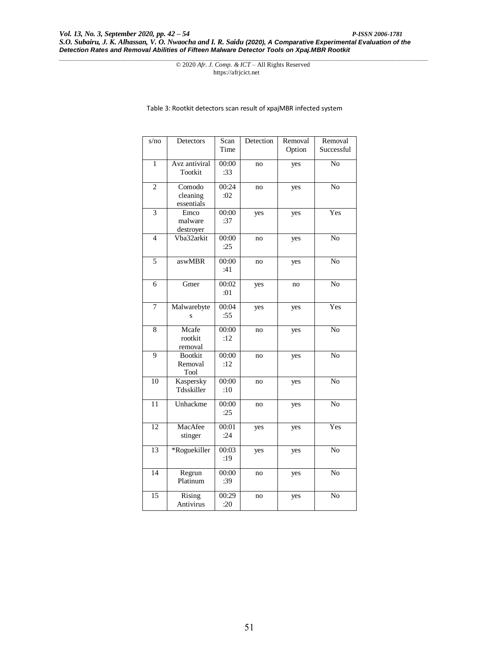Table 3: Rootkit detectors scan result of xpajMBR infected system

| s/no           | Detectors                         | Scan         | Detection | Removal | Removal        |
|----------------|-----------------------------------|--------------|-----------|---------|----------------|
|                |                                   | Time         |           | Option  | Successful     |
| 1              | Avz antiviral<br>Tootkit          | 00:00<br>:33 | no        | yes     | N <sub>o</sub> |
| $\overline{c}$ | Comodo<br>cleaning<br>essentials  | 00:24<br>:02 | no        | yes     | No             |
| $\overline{3}$ | Emco<br>malware<br>destroyer      | 00:00<br>:37 | yes       | yes     | Yes            |
| $\overline{4}$ | Vba32arkit                        | 00:00<br>:25 | no        | yes     | No             |
| 5              | aswMBR                            | 00:00<br>:41 | no        | yes     | N <sub>o</sub> |
| 6              | Gmer                              | 00:02<br>:01 | yes       | no      | N <sub>o</sub> |
| $\tau$         | Malwarebyte<br>S                  | 00:04<br>:55 | yes       | yes     | Yes            |
| 8              | Mcafe<br>rootkit<br>removal       | 00:00<br>:12 | no        | yes     | N <sub>o</sub> |
| 9              | <b>Bootkit</b><br>Removal<br>Tool | 00:00<br>:12 | no        | yes     | N <sub>0</sub> |
| 10             | Kaspersky<br>Tdsskiller           | 00:00<br>:10 | no        | yes     | No             |
| 11             | Unhackme                          | 00:00<br>:25 | no        | yes     | No             |
| 12             | MacAfee<br>stinger                | 00:01<br>:24 | yes       | yes     | Yes            |
| 13             | *Roguekiller                      | 00:03<br>:19 | yes       | yes     | N <sub>o</sub> |
| 14             | Regrun<br>Platinum                | 00:00<br>:39 | no        | yes     | No             |
| 15             | Rising<br><b>Antivirus</b>        | 00:29<br>:20 | no        | yes     | N <sub>o</sub> |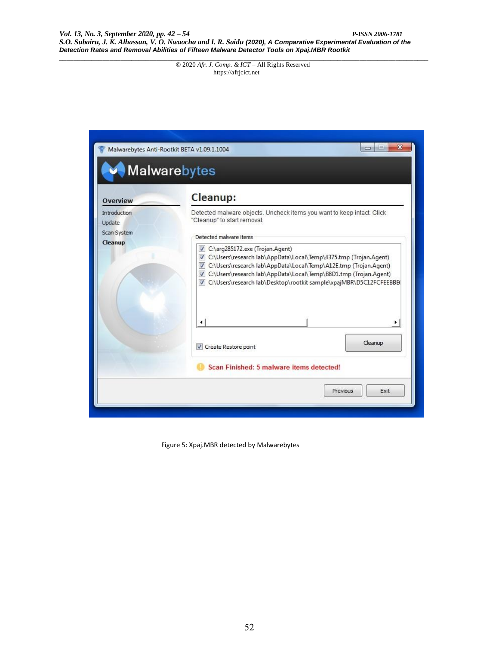|                                       | Malwarebytes Anti-Rootkit BETA v1.09.1.1004<br><b>Malwarebytes</b>                                                                                                                                                                                                                                                                     | ж<br><b>CD</b>   |
|---------------------------------------|----------------------------------------------------------------------------------------------------------------------------------------------------------------------------------------------------------------------------------------------------------------------------------------------------------------------------------------|------------------|
| <b>Overview</b>                       | Cleanup:                                                                                                                                                                                                                                                                                                                               |                  |
| Introduction<br>Update<br>Scan System | Detected malware objects. Uncheck items you want to keep intact. Click<br>"Cleanup" to start removal.<br>Detected malware items                                                                                                                                                                                                        |                  |
| Cleanup                               | C:\arg285172.exe (Trojan.Agent)<br>$\overline{v}$<br>C:\Users\research lab\AppData\Local\Temp\4375.tmp (Trojan.Agent)<br>C:\Users\research lab\AppData\Local\Temp\A12E.tmp (Trojan.Agent)<br>V C:\Users\research lab\AppData\Local\Temp\B8D1.tmp (Trojan.Agent)<br>C:\Users\research lab\Desktop\rootkit sample\xpajMBR\D5C12FCFEEBBE( |                  |
|                                       |                                                                                                                                                                                                                                                                                                                                        |                  |
|                                       | Create Restore point                                                                                                                                                                                                                                                                                                                   | Cleanup          |
|                                       | Scan Finished: 5 malware items detected!                                                                                                                                                                                                                                                                                               |                  |
|                                       |                                                                                                                                                                                                                                                                                                                                        | Exit<br>Previous |

Figure 5: Xpaj.MBR detected by Malwarebytes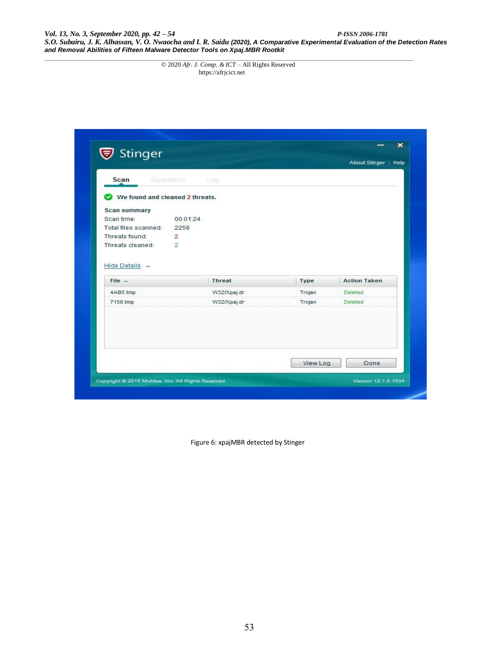*Vol. 13, No. 3, September 2020, pp. 42 – 54 P-ISSN 2006-1781 S.O. Subairu, J. K. Alhassan, V. O. Nwaocha and I. R. Saidu (2020), A Comparative Experimental Evaluation of the Detection Rates and Removal Abilities of Fifteen Malware Detector Tools on Xpaj.MBR Rootkit*

*\_\_\_\_\_\_\_\_\_\_\_\_\_\_\_\_\_\_\_\_\_\_\_\_\_\_\_\_\_\_\_\_\_\_\_\_\_\_\_\_\_\_\_\_\_\_\_\_\_\_\_\_\_\_\_\_\_\_\_\_\_\_\_\_\_\_\_\_\_\_\_\_\_\_\_\_\_\_\_\_\_\_\_\_\_\_\_\_\_\_\_\_\_\_\_\_\_\_\_\_\_\_* © 2020 *Afr. J. Comp. & ICT* – All Rights Reserved https://afrjcict.net

| <b>▼</b> Stinger                |                   |          |                      | $\boldsymbol{\times}$ |
|---------------------------------|-------------------|----------|----------------------|-----------------------|
|                                 |                   |          | About Stinger   Help |                       |
| Scan                            | Quarantine<br>Log |          |                      |                       |
|                                 |                   |          |                      |                       |
| We found and cleaned 2 threats. |                   |          |                      |                       |
| Scan summary                    |                   |          |                      |                       |
| Scan time:                      | 00:01:24          |          |                      |                       |
| Total files scanned:            | 2258              |          |                      |                       |
| Threats found:                  | $\overline{2}$    |          |                      |                       |
| Threats cleaned:                | $\overline{2}$    |          |                      |                       |
|                                 |                   |          |                      |                       |
| Hide Details A<br>$File =$      | <b>Threat</b>     | Type     | <b>Action Taken</b>  |                       |
| 4AB5.tmp                        | W32/Xpaj.dr       | Trojan   | Deleted              |                       |
| 7158.tmp                        | W32/Xpaj.dr       | Trojan   | Deleted              |                       |
|                                 |                   |          |                      |                       |
|                                 |                   | View Log | Done                 |                       |

Figure 6: xpajMBR detected by Stinger